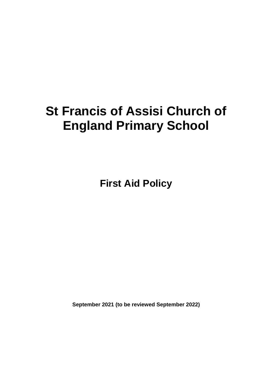# **St Francis of Assisi Church of England Primary School**

**First Aid Policy**

**September 2021 (to be reviewed September 2022)**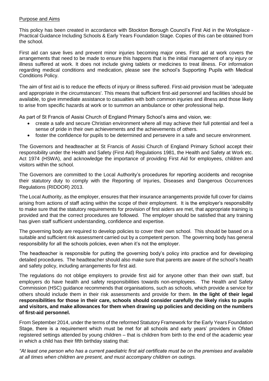#### Purpose and Aims

This policy has been created in accordance with Stockton Borough Council's First Aid in the Workplace - Practical Guidance Including Schools & Early Years Foundation Stage. Copies of this can be obtained from the school.

First aid can save lives and prevent minor injuries becoming major ones. First aid at work covers the arrangements that need to be made to ensure this happens that is the initial management of any injury or illness suffered at work. It does not include giving tablets or medicines to treat illness. For information regarding medical conditions and medication, please see the school's Supporting Pupils with Medical Conditions Policy.

The aim of first aid is to reduce the effects of injury or illness suffered. First-aid provision must be 'adequate and appropriate in the circumstances'. This means that sufficient first-aid personnel and facilities should be available, to give immediate assistance to casualties with both common injuries and illness and those likely to arise from specific hazards at work or to summon an ambulance or other professional help.

As part of St Francis of Assisi Church of England Primary School's aims and vision, we:

- create a safe and secure Christian environment where all may achieve their full potential and feel a sense of pride in their own achievements and the achievements of others.
- foster the confidence for pupils to be determined and persevere in a safe and secure environment.

The Governors and headteacher at St Francis of Assisi Church of England Primary School accept their responsibility under the Health and Safety (First Aid) Regulations 1981, the Health and Safety at Work etc. Act 1974 (HSWA), and acknowledge the importance of providing First Aid for employees, children and visitors within the school.

The Governors are committed to the Local Authority's procedures for reporting accidents and recognise their statutory duty to comply with the Reporting of Injuries, Diseases and Dangerous Occurrences Regulations (RIDDOR) 2013.

The Local Authority, as the employer, ensures that their insurance arrangements provide full cover for claims arising from actions of staff acting within the scope of their employment. It is the employer's responsibility to make sure that the statutory requirements for provision of first aiders are met, that appropriate training is provided and that the correct procedures are followed. The employer should be satisfied that any training has given staff sufficient understanding, confidence and expertise.

The governing body are required to develop policies to cover their own school. This should be based on a suitable and sufficient risk assessment carried out by a competent person. The governing body has general responsibility for all the schools policies, even when it's not the employer.

The headteacher is responsible for putting the governing body's policy into practice and for developing detailed procedures. The headteacher should also make sure that parents are aware of the school's health and safety policy, including arrangements for first aid.

The regulations do not oblige employers to provide first aid for anyone other than their own staff, but employers do have health and safety responsibilities towards non-employees. The Health and Safety Commission (HSC) guidance recommends that organisations, such as schools, which provide a service for others should include them in their risk assessments and provide for them. **In the light of their legal responsibilities for those in their care, schools should consider carefully the likely risks to pupils and visitors, and make allowances for them when drawing up policies and deciding on the numbers of first-aid personnel.**

From September 2014, under the terms of the reformed Statutory Framework for the Early Years Foundation Stage, there is a requirement which must be met for all schools and early years' providers in Ofsted registered settings attended by young children – that is children from birth to the end of the academic year in which a child has their fifth birthday stating that:

*"At least one person who has a current paediatric first aid certificate must be on the premises and available at all times when children are present, and must accompany children on outings.*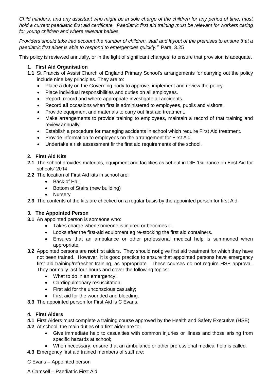*Child minders, and any assistant who might be in sole charge of the children for any period of time, must hold a current paediatric first aid certificate. Paediatric first aid training must be relevant for workers caring for young children and where relevant babies.* 

*Providers should take into account the number of children, staff and layout of the premises to ensure that a paediatric first aider is able to respond to emergencies quickly."* Para. 3.25

This policy is reviewed annually, or in the light of significant changes, to ensure that provision is adequate.

# **1. First Aid Organisation**

- **1.1** St Francis of Assisi Church of England Primary School's arrangements for carrying out the policy include nine key principles. They are to:
	- Place a duty on the Governing body to approve, implement and review the policy.
	- Place individual responsibilities and duties on all employees.
	- Report, record and where appropriate investigate all accidents.
	- Record **all** occasions when first is administered to employees, pupils and visitors.
	- Provide equipment and materials to carry out first aid treatment.
	- Make arrangements to provide training to employees, maintain a record of that training and review annually.
	- Establish a procedure for managing accidents in school which require First Aid treatment.
	- Provide information to employees on the arrangement for First Aid.
	- Undertake a risk assessment fir the first aid requirements of the school.

# **2. First Aid Kits**

- **2.1** The school provides materials, equipment and facilities as set out in DfE 'Guidance on First Aid for schools' 2014.
- **2.2** The location of First Aid kits in school are:
	- Back of Hall
	- Bottom of Stairs (new building)
	- Nursery

**2.3** The contents of the kits are checked on a regular basis by the appointed person for first Aid.

# **3. The Appointed Person**

- **3.1** An appointed person is someone who:
	- Takes charge when someone is injured or becomes ill.
	- Looks after the first-aid equipment eg re-stocking the first aid containers.
	- Ensures that an ambulance or other professional medical help is summoned when appropriate.
- **3.2** Appointed persons are **not** first aiders. They should **not** give first aid treatment for which they have not been trained. However, it is good practice to ensure that appointed persons have emergency first aid training/refresher training, as appropriate. These courses do not require HSE approval. They normally last four hours and cover the following topics:
	- What to do in an emergency;
	- Cardiopulmonary resuscitation;
	- First aid for the unconscious casualty;
	- First aid for the wounded and bleeding.
- **3.3** The appointed person for First Aid is C Evans.

# **4. First Aiders**

- **4.1** First Aiders must complete a training course approved by the Health and Safety Executive (HSE)
- **4.2** At school, the main duties of a first aider are to:
	- Give immediate help to casualties with common injuries or illness and those arising from specific hazards at school;
	- When necessary, ensure that an ambulance or other professional medical help is called.
- **4.3** Emergency first aid trained members of staff are:
- C Evans Appointed person
- A Camsell Paediatric First Aid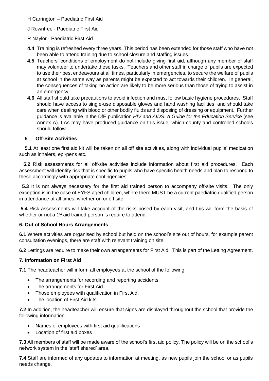- H Carrington Paediatric First Aid
- J Rowntree Paediatric First Aid
- R Naylor Paediatric First Aid
- **4.4** Training is refreshed every three years. This period has been extended for those staff who have not been able to attend training due to school closure and staffing issues.
- **4.5** Teachers' conditions of employment do not include giving first aid, although any member of staff may volunteer to undertake these tasks. Teachers and other staff in charge of pupils are expected to use their best endeavours at all times, particularly in emergencies, to secure the welfare of pupils at school in the same way as parents might be expected to act towards their children. In general, the consequences of taking no action are likely to be more serious than those of trying to assist in an emergency.
- **4.6** All staff should take precautions to avoid infection and must follow basic hygiene procedures. Staff should have access to single-use disposable gloves and hand washing facilities, and should take care when dealing with blood or other bodily fluids and disposing of dressing or equipment. Further guidance is available in the DfE publication *HIV and AIDS: A Guide for the Education Service* (see Annex A). LAs may have produced guidance on this issue, which county and controlled schools should follow.

## **5 Off-Site Activities**

 **5.1** At least one first aid kit will be taken on all off site activities, along with individual pupils' medication such as inhalers, epi-pens etc.

 **5.2** Risk assessments for all off-site activities include information about first aid procedures. Each assessment will identify risk that is specific to pupils who have specific health needs and plan to respond to these accordingly with appropriate contingencies.

 **5.3** It is not always necessary for the first aid trained person to accompany off-site visits. The only exception is in the case of EYFS aged children, where there MUST be a current paediatric qualified person in attendance at all times, whether on or off site.

**5.4** Risk assessments will take account of the risks posed by each visit, and this will form the basis of whether or not a 1<sup>st</sup> aid trained person is require to attend.

## **6. Out of School Hours Arrangements**

**6.1** Where activities are organised by school but held on the school's site out of hours, for example parent consultation evenings, there are staff with relevant training on site.

**6.2** Lettings are require to make their own arrangements for First Aid. This is part of the Letting Agreement.

## **7. Information on First Aid**

**7.1** The headteacher will inform all employees at the school of the following:

- The arrangements for recording and reporting accidents.
- The arrangements for First Aid.
- Those employees with qualification in First Aid.
- The location of First Aid kits.

**7.2** In addition, the headteacher will ensure that signs are displayed throughout the school that provide the following information:

- Names of employees with first aid qualifications
- Location of first aid boxes

**7.3** All members of staff will be made aware of the school's first aid policy. The policy will be on the school's network system in the 'staff shared' area.

**7.4** Staff are informed of any updates to information at meeting, as new pupils join the school or as pupils needs change.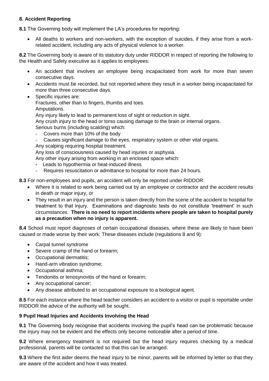# **8. Accident Reporting**

**8.1** The Governing body will implement the LA's procedures for reporting:

• All deaths to workers and non-workers, with the exception of suicides, if they arise from a workrelated accident, including any acts of physical violence to a worker.

**8.2** The Governing body is aware of its statutory duty under RIDDOR in respect of reporting the following to the Health and Safety executive as it applies to employees:

- An accident that involves an employee being incapacitated from work for more than seven consecutive days.
- Accidents must be recorded, but not reported where they result in a worker being incapacitated for more than three consecutive days.
- Specific injuries are:

Fractures, other than to fingers, thumbs and toes.

Amputations.

Any injury likely to lead to permanent loss of sight or reduction in sight.

Any crush injury to the head or torso causing damage to the brain or internal organs.

Serious burns (including scalding) which:

- Covers more than 10% of the body
- Causes significant damage to the eyes, respiratory system or other vital organs. Any scalping requiring hospital treatment.

Any loss of consciousness caused by head injuries or asphyxia.

- Any other injury arising from working in an enclosed space which:
- **-** Leads to hypothermia or heat-induced illness
- Requires resuscitation or admittance to hospital for more than 24 hours.

**8.3** For non-employees and pupils, an accident will only be reported under RIDDOR:

- Where it is related to work being carried out by an employee or contractor and the accident results in death or major injury, or
- They result in an injury and the person is taken directly from the scene of the accident to hospital for treatment to that injury. Examinations and diagnostic tests do not constitute 'treatment' in such circumstances. **There is no need to report incidents where people are taken to hospital purely as a precaution when no injury is apparent.**

**8.4** School must report diagnoses of certain occupational diseases, where these are likely to have been caused or made worse by their work: These diseases include (regulations 8 and 9):

- Carpal tunnel syndrome
- Severe cramp of the hand or forearm:
- Occupational dermatitis;
- Hand-arm vibration syndrome;
- Occupational asthma;
- Tendonitis or tenosynovitis of the hand or forearm;
- Any occupational cancer;
- Any disease attributed to an occupational exposure to a biological agent.

**8.5** For each instance where the head teacher considers an accident to a visitor or pupil is reportable under RIDDOR the advice of the authority will be sought.

## **9 Pupil Head Injuries and Accidents Involving the Head**

**9.1** The Governing body recognise that accidents involving the pupil's head can be problematic because the injury may not be evident and the effects only become noticeable after a period of time.

**9.2** Where emergency treatment is not required but the head injury requires checking by a medical professional, parents will be contacted so that this can be arranged.

**9.3** Where the first aider deems the head injury to be minor, parents will be informed by letter so that they are aware of the accident and how it was treated.